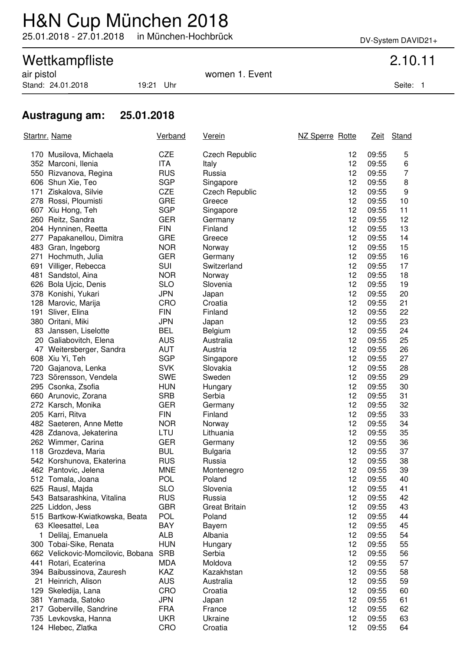## H&N Cup München 2018

25.01.2018 - 27.01.2018 in München-Hochbrück DV-System DAVID21+

# Wettkampfliste 2.10.11<br>
air pistol 2.10.11

Stand: 24.01.2018 19:21 Uhr Stand: 24.01.2018 19:21 Uhr

women 1. Event

### **Austragung am: 25.01.2018**

| Startnr. Name |                                   | <b>Verband</b> | <u>Verein</u>         | NZ Sperre Rotte |       | Zeit Stand     |
|---------------|-----------------------------------|----------------|-----------------------|-----------------|-------|----------------|
|               | 170 Musilova, Michaela            | <b>CZE</b>     | <b>Czech Republic</b> | 12              | 09:55 | 5              |
|               | 352 Marconi, Ilenia               | ITA            | Italy                 | 12              | 09:55 | 6              |
|               | 550 Rizvanova, Regina             | <b>RUS</b>     | Russia                | 12              | 09:55 | $\overline{7}$ |
|               | 606 Shun Xie, Teo                 | <b>SGP</b>     | Singapore             | 12              | 09:55 | 8              |
|               | 171 Ziskalova, Silvie             | <b>CZE</b>     | <b>Czech Republic</b> | 12              | 09:55 | 9              |
|               | 278 Rossi, Ploumisti              | <b>GRE</b>     | Greece                | 12              | 09:55 | 10             |
|               | 607 Xiu Hong, Teh                 | <b>SGP</b>     | Singapore             | 12              | 09:55 | 11             |
|               | 260 Reitz, Sandra                 | <b>GER</b>     | Germany               | 12              | 09:55 | 12             |
|               | 204 Hynninen, Reetta              | <b>FIN</b>     | Finland               | 12              | 09:55 | 13             |
|               | 277 Papakanellou, Dimitra         | <b>GRE</b>     | Greece                | 12              | 09:55 | 14             |
|               | 483 Gran, Ingeborg                | <b>NOR</b>     | Norway                | 12              | 09:55 | 15             |
|               | 271 Hochmuth, Julia               | <b>GER</b>     | Germany               | 12              | 09:55 | 16             |
|               | 691 Villiger, Rebecca             | SUI            | Switzerland           | 12              | 09:55 | 17             |
|               | 481 Sandstol, Aina                | <b>NOR</b>     | Norway                | 12              | 09:55 | 18             |
|               | 626 Bola Ujcic, Denis             | <b>SLO</b>     | Slovenia              | 12              | 09:55 | 19             |
|               | 378 Konishi, Yukari               | <b>JPN</b>     | Japan                 | 12              | 09:55 | 20             |
|               | 128 Marovic, Marija               | CRO            | Croatia               | 12              | 09:55 | 21             |
|               | 191 Sliver, Elina                 | <b>FIN</b>     | Finland               | 12              | 09:55 | 22             |
|               | 380 Oritani, Miki                 | <b>JPN</b>     | Japan                 | 12              | 09:55 | 23             |
|               | 83 Janssen, Liselotte             | <b>BEL</b>     | Belgium               | 12              | 09:55 | 24             |
|               | 20 Galiabovitch, Elena            | <b>AUS</b>     | Australia             | 12              | 09:55 | 25             |
|               | 47 Weitersberger, Sandra          | AUT            | Austria               | 12              | 09:55 | 26             |
|               | 608 Xiu Yi, Teh                   | <b>SGP</b>     | Singapore             | 12              | 09:55 | 27             |
|               | 720 Gajanova, Lenka               | <b>SVK</b>     | Slovakia              | 12              | 09:55 | 28             |
|               | 723 Sörensson, Vendela            | <b>SWE</b>     | Sweden                | 12              | 09:55 | 29             |
|               | 295 Csonka, Zsofia                | <b>HUN</b>     | Hungary               | 12              | 09:55 | 30             |
|               | 660 Arunovic, Zorana              | <b>SRB</b>     | Serbia                | 12              | 09:55 | 31             |
|               | 272 Karsch, Monika                | <b>GER</b>     | Germany               | 12              | 09:55 | 32             |
|               | 205 Karri, Ritva                  | <b>FIN</b>     | Finland               | 12              | 09:55 | 33             |
|               | 482 Saeteren, Anne Mette          | <b>NOR</b>     | Norway                | 12              | 09:55 | 34             |
|               | 428 Zdanova, Jekaterina           | LTU            | Lithuania             | 12              | 09:55 | 35             |
|               | 262 Wimmer, Carina                | <b>GER</b>     | Germany               | 12              | 09:55 | 36             |
|               | 118 Grozdeva, Maria               | <b>BUL</b>     | <b>Bulgaria</b>       | 12              | 09:55 | 37             |
|               | 542 Korshunova, Ekaterina         | <b>RUS</b>     | Russia                | 12              | 09:55 | 38             |
|               | 462 Pantovic, Jelena              | <b>MNE</b>     | Montenegro            | 12              | 09:55 | 39             |
|               | 512 Tomala, Joana                 | <b>POL</b>     | Poland                | 12              | 09:55 | 40             |
|               | 625 Rausl, Majda                  | <b>SLO</b>     | Slovenia              | 12              | 09:55 | 41             |
|               | 543 Batsarashkina, Vitalina       | <b>RUS</b>     | Russia                | 12              | 09:55 | 42             |
|               | 225 Liddon, Jess                  | <b>GBR</b>     | <b>Great Britain</b>  | 12              | 09:55 | 43             |
|               | 515 Bartkow-Kwiatkowska, Beata    | <b>POL</b>     | Poland                | 12              | 09:55 | 44             |
|               | 63 Kleesattel, Lea                | BAY            | <b>Bayern</b>         | 12              | 09:55 | 45             |
| 1             | Delilaj, Emanuela                 | <b>ALB</b>     | Albania               | 12              | 09:55 | 54             |
|               | 300 Tobai-Sike, Renata            | <b>HUN</b>     | Hungary               | 12              | 09:55 | 55             |
|               | 662 Velickovic-Momcilovic, Bobana | <b>SRB</b>     | Serbia                | 12              | 09:55 | 56             |
|               | 441 Rotari, Ecaterina             | <b>MDA</b>     | Moldova               | 12              | 09:55 | 57             |
|               | 394 Baibussinova, Zauresh         | <b>KAZ</b>     | Kazakhstan            | 12              | 09:55 | 58             |
|               | 21 Heinrich, Alison               | <b>AUS</b>     | Australia             | 12              | 09:55 | 59             |
|               | 129 Skeledija, Lana               | CRO            | Croatia               | 12              | 09:55 | 60             |
|               | 381 Yamada, Satoko                | <b>JPN</b>     | Japan                 | 12              | 09:55 | 61             |
|               | 217 Goberville, Sandrine          | <b>FRA</b>     | France                | 12              | 09:55 | 62             |
|               | 735 Levkovska, Hanna              | <b>UKR</b>     | Ukraine               | 12              | 09:55 | 63             |
|               | 124 Hlebec, Zlatka                | CRO            | Croatia               | 12              | 09:55 | 64             |